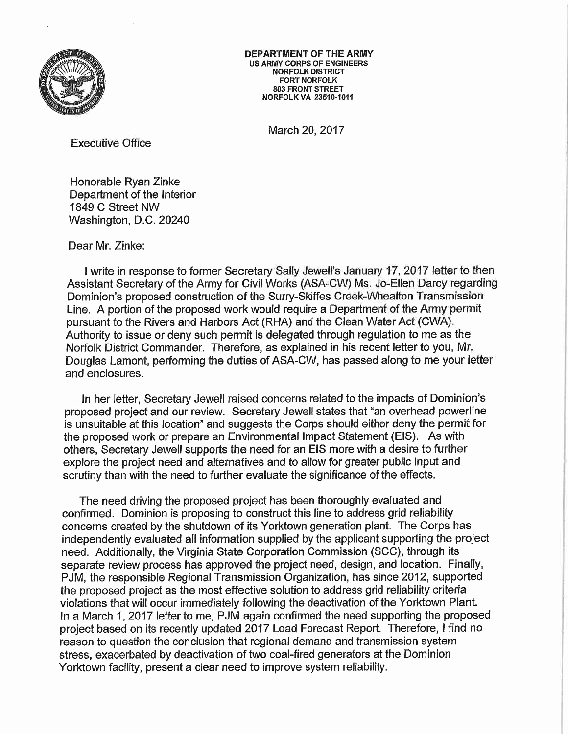

DEPARTMENT OF THE ARMY US ARMY CORPS OF ENGINEERS NORFOLK DISTRICT FORT NORFOLK 803 FRONT STREET NORFOLK VA 23510-1011

March 20, 2017

Executive Office

Honorable Ryan Zinke Department of the Interior 1849 C Street NW Washington, D.C. 20240

Dear Mr. Zinke:

I write in response to former Secretary Sally Jewell's January 17, 2017 letter to then Assistant Secretary of the Army for Civil Works (ASA-CW) Ms. Jo-Ellen Darcy regarding Dominion's proposed construction of the Surry-Skiffes Creek-Whealton Transmission Line. A portion of the proposed work would require a Department of the Army permit pursuant to the Rivers and Harbors Act (RHA) and the Clean Water Act (CWA). Authority to issue or deny such permit is delegated through regulation to me as the Norfolk District Commander. Therefore, as explained in his recent letter to you, Mr. Douglas Lamont, performing the duties of ASA-CW, has passed along to me your letter and enclosures.

In her letter, Secretary Jewel! raised concerns related to the impacts of Dominion's proposed project and our review. Secretary Jewell states that "an overhead powerline is unsuitable at this location" and suggests the Corps should either deny the permit for the proposed work or prepare an Environmental Impact Statement (EIS). As with others, Secretary Jewel! supports the need for an EIS more with a desire to further explore the project need and alternatives and to allow for greater public input and scrutiny than with the need to further evaluate the significance of the effects.

The need driving the proposed project has been thoroughly evaluated and confirmed. Dominion is proposing to construct this line to address grid reliability concerns created by the shutdown of its Yorktown generation plant. The Corps has independently evaluated all information supplied by the applicant supporting the project need. Additionally, the Virginia State Corporation Commission (SCC), through its separate review process has approved the project need, design, and location. Finally, PJM, the responsible Regional Transmission Organization, has since 2012, supported the proposed project as the most effective solution to address grid reliability criteria violations that will occur immediately following the deactivation of the Yorktown Plant. In a March 1, 2017 letter to me, PJM again confirmed the need supporting the proposed project based on its recently updated 2017 Load Forecast Report. Therefore, I find no reason to question the conclusion that regional demand and transmission system stress, exacerbated by deactivation of two coal-fired generators at the Dominion Yorktown facility, present a clear need to improve system reliability.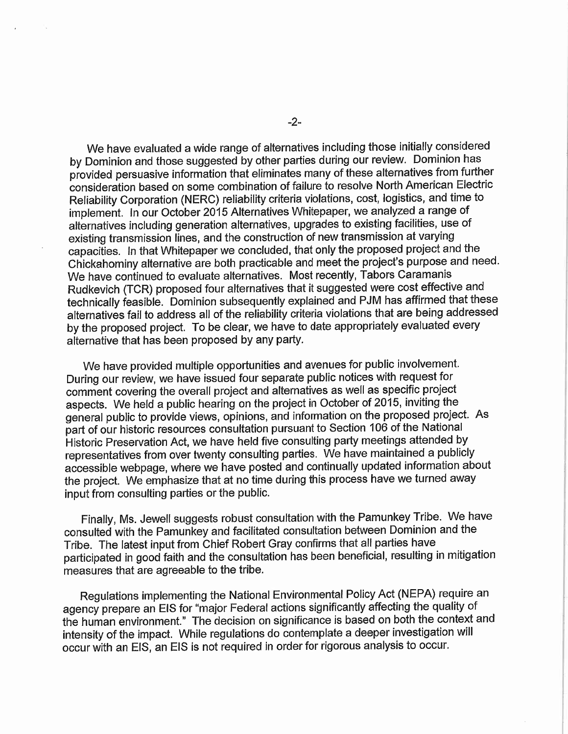We have evaluated a wide range of alternatives including those initially considered by Dominion and those suggested by other parties during our review. Dominion has provided persuasive information that eliminates many of these alternatives from further consideration based on some combination of failure to resolve North American Electric Reliability Corporation (NERC) reliability criteria violations, cost, logistics, and time to implement. In our October 2015 Alternatives Whitepaper, we analyzed a range of alternatives including generation alternatives, upgrades to existing facilities, use of existing transmission lines, and the construction of new transmission at varying capacities. In that Whitepaper we concluded, that only the proposed project and the Chickahominy alternative are both practicable and meet the project's purpose and need. We have continued to evaluate alternatives. Most recently, Tabors Caramanis Rudkevich (TCR) proposed four alternatives that it suggested were cost effective and technically feasible. Dominion subsequently explained and PJM has affirmed that these alternatives fail to address all of the reliability criteria violations that are being addressed by the proposed project. To be clear, we have to date appropriately evaluated every alternative that has been proposed by any party.

We have provided multiple opportunities and avenues for public involvement. During our review, we have issued four separate public notices with request for comment covering the overall project and alternatives as well as specific project aspects. We held a public hearing on the project in October of 2015, inviting the general public to provide views, opinions, and information on the proposed project. As part of our historic resources consultation pursuant to Section 106 of the National Historic Preservation Act, we have held five consulting party meetings attended by representatives from over twenty consulting parties. We have maintained a publicly accessible webpage, where we have posted and continually updated information about the project. We emphasize that at no time during this process have we turned away input from consulting parties or the public.

Finally, Ms. Jewel! suggests robust consultation with the Pamunkey Tribe. We have consulted with the Pamunkey and facilitated consultation between Dominion and the Tribe. The latest input from Chief Robert Gray confirms that all parties have participated in good faith and the consultation has been beneficial, resulting in mitigation measures that are agreeable to the tribe.

Regulations implementing the National Environmental Policy Act (NEPA) require an agency prepare an EIS for "major Federal actions significantly affecting the quality of the human environment." The decision on significance is based on both the context and intensity of the impact. While regulations do contemplate a deeper investigation will occur with an EIS, an EIS is not required in order for rigorous analysis to occur.